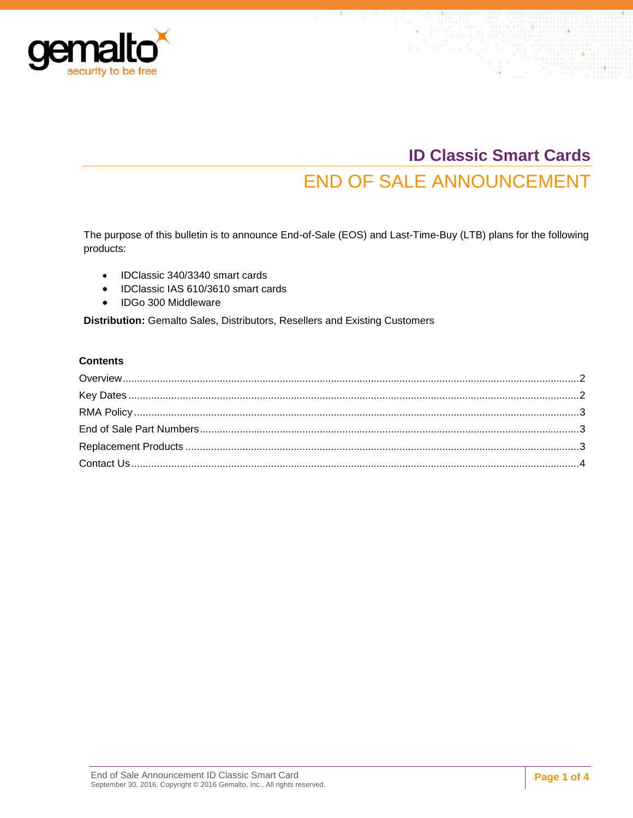

# **ID Classic Smart Cards** END OF SALE ANNOUNCEMENT

The purpose of this bulletin is to announce End-of-Sale (EOS) and Last-Time-Buy (LTB) plans for the following products:

- IDClassic 340/3340 smart cards
- IDClassic IAS 610/3610 smart cards
- IDGo 300 Middleware

**Distribution:** Gemalto Sales, Distributors, Resellers and Existing Customers

#### **Contents**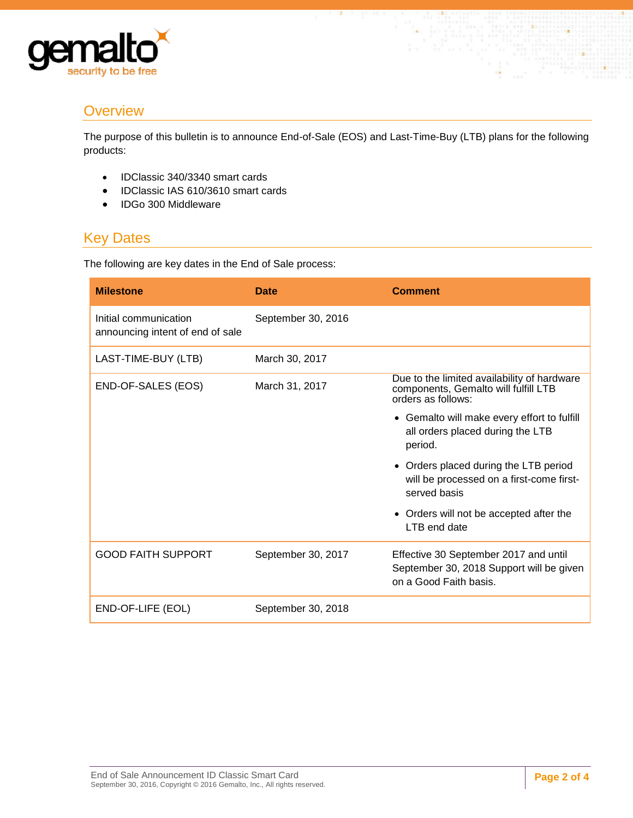

### <span id="page-1-0"></span>**Overview**

The purpose of this bulletin is to announce End-of-Sale (EOS) and Last-Time-Buy (LTB) plans for the following products:

- IDClassic 340/3340 smart cards
- IDClassic IAS 610/3610 smart cards
- IDGo 300 Middleware

## <span id="page-1-1"></span>Key Dates

The following are key dates in the End of Sale process:

| <b>Milestone</b>                                          | <b>Date</b>        | <b>Comment</b>                                                                                              |
|-----------------------------------------------------------|--------------------|-------------------------------------------------------------------------------------------------------------|
| Initial communication<br>announcing intent of end of sale | September 30, 2016 |                                                                                                             |
| LAST-TIME-BUY (LTB)                                       | March 30, 2017     |                                                                                                             |
| END-OF-SALES (EOS)                                        | March 31, 2017     | Due to the limited availability of hardware<br>components, Gemalto will fulfill LTB<br>orders as follows:   |
|                                                           |                    | • Gemalto will make every effort to fulfill<br>all orders placed during the LTB<br>period.                  |
|                                                           |                    | • Orders placed during the LTB period<br>will be processed on a first-come first-<br>served basis           |
|                                                           |                    | • Orders will not be accepted after the<br>LTB end date                                                     |
| <b>GOOD FAITH SUPPORT</b>                                 | September 30, 2017 | Effective 30 September 2017 and until<br>September 30, 2018 Support will be given<br>on a Good Faith basis. |
| END-OF-LIFE (EOL)                                         | September 30, 2018 |                                                                                                             |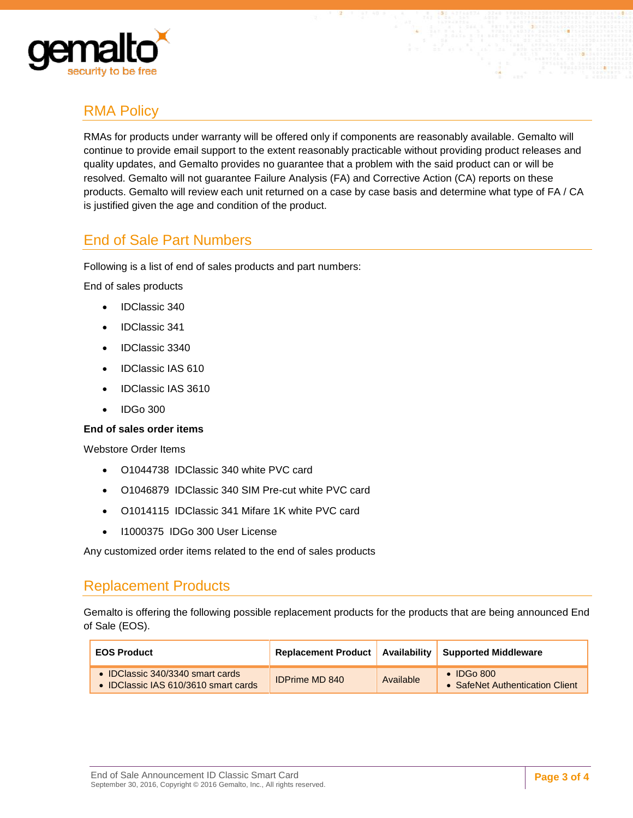

# <span id="page-2-0"></span>RMA Policy

RMAs for products under warranty will be offered only if components are reasonably available. Gemalto will continue to provide email support to the extent reasonably practicable without providing product releases and quality updates, and Gemalto provides no guarantee that a problem with the said product can or will be resolved. Gemalto will not guarantee Failure Analysis (FA) and Corrective Action (CA) reports on these products. Gemalto will review each unit returned on a case by case basis and determine what type of FA / CA is justified given the age and condition of the product.

## <span id="page-2-1"></span>End of Sale Part Numbers

Following is a list of end of sales products and part numbers:

End of sales products

- IDClassic 340
- IDClassic 341
- IDClassic 3340
- IDClassic IAS 610
- IDClassic IAS 3610
- $\bullet$  IDGo 300

#### **End of sales order items**

Webstore Order Items

- O1044738 IDClassic 340 white PVC card
- O1046879 IDClassic 340 SIM Pre-cut white PVC card
- O1014115 IDClassic 341 Mifare 1K white PVC card
- I1000375 IDGo 300 User License

Any customized order items related to the end of sales products

#### <span id="page-2-2"></span>Replacement Products

Gemalto is offering the following possible replacement products for the products that are being announced End of Sale (EOS).

| <b>EOS Product</b>                                                       |                       |           | Replacement Product   Availability   Supported Middleware |
|--------------------------------------------------------------------------|-----------------------|-----------|-----------------------------------------------------------|
| • IDClassic 340/3340 smart cards<br>• IDClassic IAS 610/3610 smart cards | <b>IDPrime MD 840</b> | Available | $\bullet$ IDGo 800<br>• SafeNet Authentication Client     |